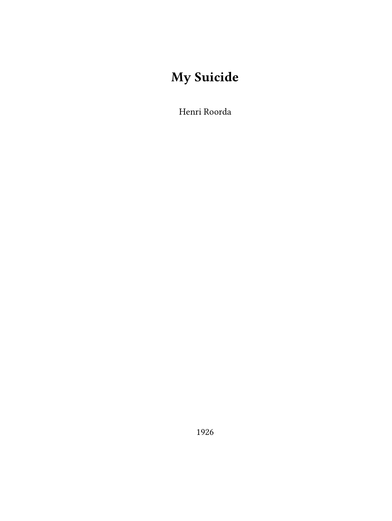# **My Suicide**

Henri Roorda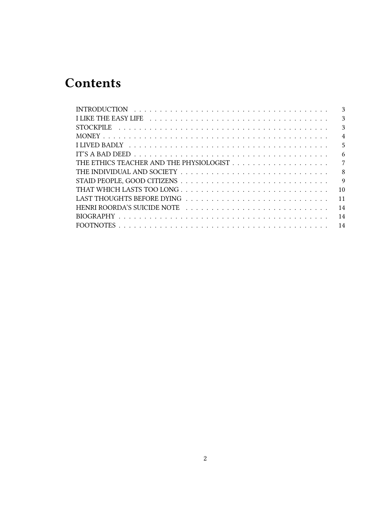# **Contents**

| $\mathbf{3}$    |
|-----------------|
| $\mathcal{E}$   |
| 3               |
| $\overline{4}$  |
| 5               |
| 6               |
| 7               |
| 8               |
| 9               |
| 10 <sup>1</sup> |
| 11              |
| 14              |
| 14              |
|                 |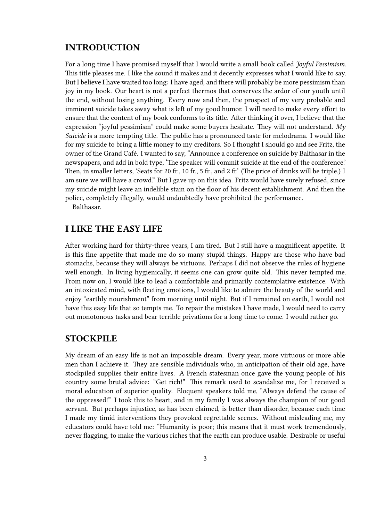# <span id="page-2-0"></span>**INTRODUCTION**

For a long time I have promised myself that I would write a small book called *Joyful Pessimism*. This title pleases me. I like the sound it makes and it decently expresses what I would like to say. But I believe I have waited too long: I have aged, and there will probably be more pessimism than joy in my book. Our heart is not a perfect thermos that conserves the ardor of our youth until the end, without losing anything. Every now and then, the prospect of my very probable and imminent suicide takes away what is left of my good humor. I will need to make every effort to ensure that the content of my book conforms to its title. After thinking it over, I believe that the expression "joyful pessimism" could make some buyers hesitate. They will not understand. *My Suicide* is a more tempting title. The public has a pronounced taste for melodrama. I would like for my suicide to bring a little money to my creditors. So I thought I should go and see Fritz, the owner of the Grand Café. I wanted to say, "Announce a conference on suicide by Balthasar in the newspapers, and add in bold type, 'The speaker will commit suicide at the end of the conference.' Then, in smaller letters, 'Seats for 20 fr., 10 fr., 5 fr., and 2 fr.' (The price of drinks will be triple.) I am sure we will have a crowd." But I gave up on this idea. Fritz would have surely refused, since my suicide might leave an indelible stain on the floor of his decent establishment. And then the police, completely illegally, would undoubtedly have prohibited the performance.

Balthasar.

# <span id="page-2-1"></span>**I LIKE THE EASY LIFE**

After working hard for thirty-three years, I am tired. But I still have a magnificent appetite. It is this fine appetite that made me do so many stupid things. Happy are those who have bad stomachs, because they will always be virtuous. Perhaps I did not observe the rules of hygiene well enough. In living hygienically, it seems one can grow quite old. This never tempted me. From now on, I would like to lead a comfortable and primarily contemplative existence. With an intoxicated mind, with fleeting emotions, I would like to admire the beauty of the world and enjoy "earthly nourishment" from morning until night. But if I remained on earth, I would not have this easy life that so tempts me. To repair the mistakes I have made, I would need to carry out monotonous tasks and bear terrible privations for a long time to come. I would rather go.

#### <span id="page-2-2"></span>**STOCKPILE**

My dream of an easy life is not an impossible dream. Every year, more virtuous or more able men than I achieve it. They are sensible individuals who, in anticipation of their old age, have stockpiled supplies their entire lives. A French statesman once gave the young people of his country some brutal advice: "Get rich!" This remark used to scandalize me, for I received a moral education of superior quality. Eloquent speakers told me, "Always defend the cause of the oppressed!" I took this to heart, and in my family I was always the champion of our good servant. But perhaps injustice, as has been claimed, is better than disorder, because each time I made my timid interventions they provoked regrettable scenes. Without misleading me, my educators could have told me: "Humanity is poor; this means that it must work tremendously, never flagging, to make the various riches that the earth can produce usable. Desirable or useful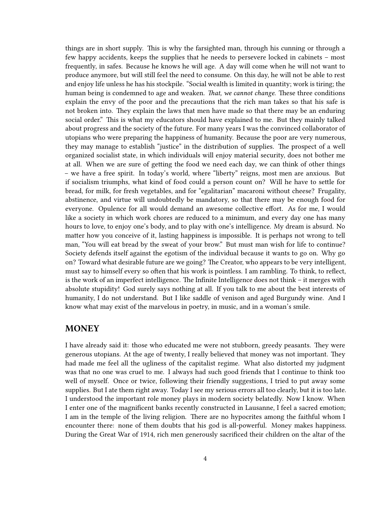things are in short supply. This is why the farsighted man, through his cunning or through a few happy accidents, keeps the supplies that he needs to persevere locked in cabinets – most frequently, in safes. Because he knows he will age. A day will come when he will not want to produce anymore, but will still feel the need to consume. On this day, he will not be able to rest and enjoy life unless he has his stockpile. "Social wealth is limited in quantity; work is tiring; the human being is condemned to age and weaken. *That, we cannot change*. These three conditions explain the envy of the poor and the precautions that the rich man takes so that his safe is not broken into. They explain the laws that men have made so that there may be an enduring social order." This is what my educators should have explained to me. But they mainly talked about progress and the society of the future. For many years I was the convinced collaborator of utopians who were preparing the happiness of humanity. Because the poor are very numerous, they may manage to establish "justice" in the distribution of supplies. The prospect of a well organized socialist state, in which individuals will enjoy material security, does not bother me at all. When we are sure of getting the food we need each day, we can think of other things – we have a free spirit. In today's world, where "liberty" reigns, most men are anxious. But if socialism triumphs, what kind of food could a person count on? Will he have to settle for bread, for milk, for fresh vegetables, and for "egalitarian" macaroni without cheese? Frugality, abstinence, and virtue will undoubtedly be mandatory, so that there may be enough food for everyone. Opulence for all would demand an awesome collective effort. As for me, I would like a society in which work chores are reduced to a minimum, and every day one has many hours to love, to enjoy one's body, and to play with one's intelligence. My dream is absurd. No matter how you conceive of it, lasting happiness is impossible. It is perhaps not wrong to tell man, "You will eat bread by the sweat of your brow." But must man wish for life to continue? Society defends itself against the egotism of the individual because it wants to go on. Why go on? Toward what desirable future are we going? The Creator, who appears to be very intelligent, must say to himself every so often that his work is pointless. I am rambling. To think, to reflect, is the work of an imperfect intelligence. The Infinite Intelligence does not think – it merges with absolute stupidity! God surely says nothing at all. If you talk to me about the best interests of humanity, I do not understand. But I like saddle of venison and aged Burgundy wine. And I know what may exist of the marvelous in poetry, in music, and in a woman's smile.

#### <span id="page-3-0"></span>**MONEY**

I have already said it: those who educated me were not stubborn, greedy peasants. They were generous utopians. At the age of twenty, I really believed that money was not important. They had made me feel all the ugliness of the capitalist regime. What also distorted my judgment was that no one was cruel to me. I always had such good friends that I continue to think too well of myself. Once or twice, following their friendly suggestions, I tried to put away some supplies. But I ate them right away. Today I see my serious errors all too clearly, but it is too late. I understood the important role money plays in modern society belatedly. Now I know. When I enter one of the magnificent banks recently constructed in Lausanne, I feel a sacred emotion; I am in the temple of the living religion. There are no hypocrites among the faithful whom I encounter there: none of them doubts that his god is all-powerful. Money makes happiness. During the Great War of 1914, rich men generously sacrificed their children on the altar of the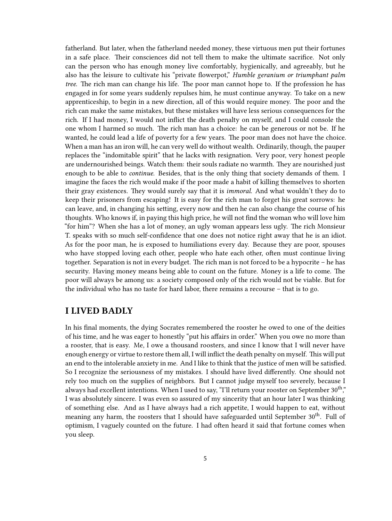fatherland. But later, when the fatherland needed money, these virtuous men put their fortunes in a safe place. Their consciences did not tell them to make the ultimate sacrifice. Not only can the person who has enough money live comfortably, hygienically, and agreeably, but he also has the leisure to cultivate his "private flowerpot," *Humble geranium or triumphant palm tree*. The rich man can change his life. The poor man cannot hope to. If the profession he has engaged in for some years suddenly repulses him, he must continue anyway. To take on a new apprenticeship, to begin in a new direction, all of this would require money. The poor and the rich can make the same mistakes, but these mistakes will have less serious consequences for the rich. If I had money, I would not inflict the death penalty on myself, and I could console the one whom I harmed so much. The rich man has a choice: he can be generous or not be. If he wanted, he could lead a life of poverty for a few years. The poor man does not have the choice. When a man has an iron will, he can very well do without wealth. Ordinarily, though, the pauper replaces the "indomitable spirit" that he lacks with resignation. Very poor, very honest people are undernourished beings. Watch them: their souls radiate no warmth. They are nourished just enough to be able to *continue*. Besides, that is the only thing that society demands of them. I imagine the faces the rich would make if the poor made a habit of killing themselves to shorten their gray existences. They would surely say that it is *immoral*. And what wouldn't they do to keep their prisoners from escaping! It is easy for the rich man to forget his great sorrows: he can leave, and, in changing his setting, every now and then he can also change the course of his thoughts. Who knows if, in paying this high price, he will not find the woman who will love him "for him"? When she has a lot of money, an ugly woman appears less ugly. The rich Monsieur T. speaks with so much self-confidence that one does not notice right away that he is an idiot. As for the poor man, he is exposed to humiliations every day. Because they are poor, spouses who have stopped loving each other, people who hate each other, often must continue living together. Separation is not in every budget. The rich man is not forced to be a hypocrite – he has security. Having money means being able to count on the future. Money is a life to come. The poor will always be among us: a society composed only of the rich would not be viable. But for the individual who has no taste for hard labor, there remains a recourse – that is to go.

## <span id="page-4-0"></span>**I LIVED BADLY**

In his final moments, the dying Socrates remembered the rooster he owed to one of the deities of his time, and he was eager to honestly "put his affairs in order." When you owe no more than a rooster, that is easy. Me, I owe a thousand roosters, and since I know that I will never have enough energy or virtue to restore them all, I will inflict the death penalty on myself. This will put an end to the intolerable anxiety in me. And I like to think that the justice of men will be satisfied. So I recognize the seriousness of my mistakes. I should have lived differently. One should not rely too much on the supplies of neighbors. But I cannot judge myself too severely, because I always had excellent intentions. When I used to say, "I'll return your rooster on September  $30^{th}$ "," I was absolutely sincere. I was even so assured of my sincerity that an hour later I was thinking of something else. And as I have always had a rich appetite, I would happen to eat, without meaning any harm, the roosters that I should have safeguarded until September  $30<sup>th</sup>$ . Full of optimism, I vaguely counted on the future. I had often heard it said that fortune comes when you sleep.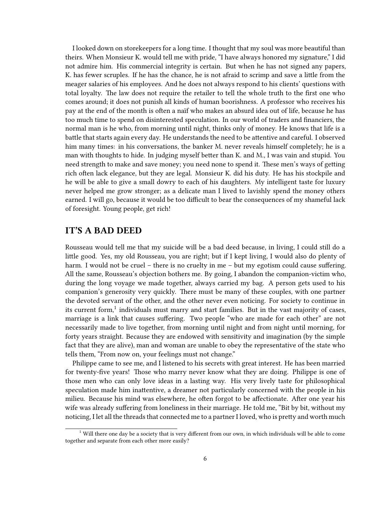I looked down on storekeepers for a long time. I thought that my soul was more beautiful than theirs. When Monsieur K. would tell me with pride, "I have always honored my signature," I did not admire him. His commercial integrity is certain. But when he has not signed any papers, K. has fewer scruples. If he has the chance, he is not afraid to scrimp and save a little from the meager salaries of his employees. And he does not always respond to his clients' questions with total loyalty. The law does not require the retailer to tell the whole truth to the first one who comes around; it does not punish all kinds of human boorishness. A professor who receives his pay at the end of the month is often a naïf who makes an absurd idea out of life, because he has too much time to spend on disinterested speculation. In our world of traders and financiers, the normal man is he who, from morning until night, thinks only of money. He knows that life is a battle that starts again every day. He understands the need to be attentive and careful. I observed him many times: in his conversations, the banker M. never reveals himself completely; he is a man with thoughts to hide. In judging myself better than K. and M., I was vain and stupid. You need strength to make and save money; you need none to spend it. These men's ways of getting rich often lack elegance, but they are legal. Monsieur K. did his duty. He has his stockpile and he will be able to give a small dowry to each of his daughters. My intelligent taste for luxury never helped me grow stronger; as a delicate man I lived to lavishly spend the money others earned. I will go, because it would be too difficult to bear the consequences of my shameful lack of foresight. Young people, get rich!

#### <span id="page-5-0"></span>**IT'S A BAD DEED**

Rousseau would tell me that my suicide will be a bad deed because, in living, I could still do a little good. Yes, my old Rousseau, you are right; but if I kept living, I would also do plenty of harm. I would not be cruel – there is no cruelty in me – but my egotism could cause suffering. All the same, Rousseau's objection bothers me. By going, I abandon the companion-victim who, during the long voyage we made together, always carried my bag. A person gets used to his companion's generosity very quickly. There must be many of these couples, with one partner the devoted servant of the other, and the other never even noticing. For society to continue in its current form, $^1$  individuals must marry and start families. But in the vast majority of cases, marriage is a link that causes suffering. Two people "who are made for each other" are not necessarily made to live together, from morning until night and from night until morning, for forty years straight. Because they are endowed with sensitivity and imagination (by the simple fact that they are alive), man and woman are unable to obey the representative of the state who tells them, "From now on, your feelings must not change."

Philippe came to see me, and I listened to his secrets with great interest. He has been married for twenty-five years! Those who marry never know what they are doing. Philippe is one of those men who can only love ideas in a lasting way. His very lively taste for philosophical speculation made him inattentive, a dreamer not particularly concerned with the people in his milieu. Because his mind was elsewhere, he often forgot to be affectionate. After one year his wife was already suffering from loneliness in their marriage. He told me, "Bit by bit, without my noticing, I let all the threads that connected me to a partner I loved, who is pretty and worth much

 $1$  Will there one day be a society that is very different from our own, in which individuals will be able to come together and separate from each other more easily?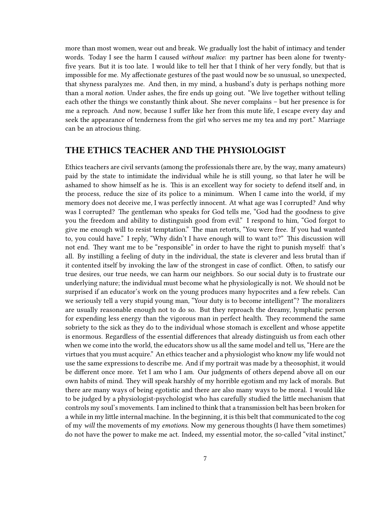more than most women, wear out and break. We gradually lost the habit of intimacy and tender words. Today I see the harm I caused *without malice*: my partner has been alone for twentyfive years. But it is too late. I would like to tell her that I think of her very fondly, but that is impossible for me. My affectionate gestures of the past would now be so unusual, so unexpected, that shyness paralyzes me. And then, in my mind, a husband's duty is perhaps nothing more than a moral *notion*. Under ashes, the fire ends up going out. "We live together without telling each other the things we constantly think about. She never complains – but her presence is for me a reproach. And now, because I suffer like her from this mute life, I escape every day and seek the appearance of tenderness from the girl who serves me my tea and my port." Marriage can be an atrocious thing.

#### <span id="page-6-0"></span>**THE ETHICS TEACHER AND THE PHYSIOLOGIST**

Ethics teachers are civil servants (among the professionals there are, by the way, many amateurs) paid by the state to intimidate the individual while he is still young, so that later he will be ashamed to show himself as he is. This is an excellent way for society to defend itself and, in the process, reduce the size of its police to a minimum. When I came into the world, if my memory does not deceive me, I was perfectly innocent. At what age was I corrupted? And why was I corrupted? The gentleman who speaks for God tells me, "God had the goodness to give you the freedom and ability to distinguish good from evil." I respond to him, "God forgot to give me enough will to resist temptation." The man retorts, "You were free. If you had wanted to, you could have." I reply, "Why didn't I have enough will to want to?" This discussion will not end. They want me to be "responsible" in order to have the right to punish myself: that's all. By instilling a feeling of duty in the individual, the state is cleverer and less brutal than if it contented itself by invoking the law of the strongest in case of conflict. Often, to satisfy our true desires, our true needs, we can harm our neighbors. So our social duty is to frustrate our underlying nature; the individual must become what he physiologically is not. We should not be surprised if an educator's work on the young produces many hypocrites and a few rebels. Can we seriously tell a very stupid young man, "Your duty is to become intelligent"? The moralizers are usually reasonable enough not to do so. But they reproach the dreamy, lymphatic person for expending less energy than the vigorous man in perfect health. They recommend the same sobriety to the sick as they do to the individual whose stomach is excellent and whose appetite is enormous. Regardless of the essential differences that already distinguish us from each other when we come into the world, the educators show us all the same model and tell us, "Here are the virtues that you must acquire." An ethics teacher and a physiologist who know my life would not use the same expressions to describe me. And if my portrait was made by a theosophist, it would be different once more. Yet I am who I am. Our judgments of others depend above all on our own habits of mind. They will speak harshly of my horrible egotism and my lack of morals. But there are many ways of being egotistic and there are also many ways to be moral. I would like to be judged by a physiologist-psychologist who has carefully studied the little mechanism that controls my soul's movements. I am inclined to think that a transmission belt has been broken for a while in my little internal machine. In the beginning, it is this belt that communicated to the cog of my *will* the movements of my *emotions*. Now my generous thoughts (I have them sometimes) do not have the power to make me act. Indeed, my essential motor, the so-called "vital instinct,"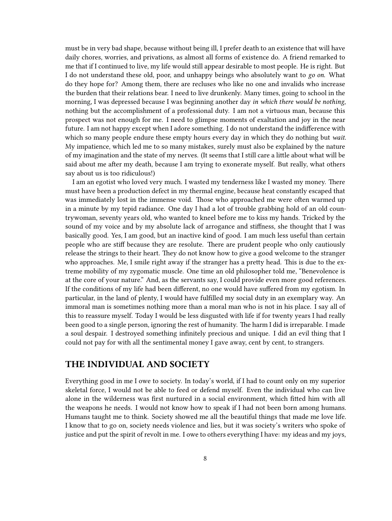must be in very bad shape, because without being ill, I prefer death to an existence that will have daily chores, worries, and privations, as almost all forms of existence do. A friend remarked to me that if I continued to live, my life would still appear desirable to most people. He is right. But I do not understand these old, poor, and unhappy beings who absolutely want to *go on*. What do they hope for? Among them, there are recluses who like no one and invalids who increase the burden that their relations bear. I need to live drunkenly. Many times, going to school in the morning, I was depressed because I was beginning another day *in which there would be nothing*, nothing but the accomplishment of a professional duty. I am not a virtuous man, because this prospect was not enough for me. I need to glimpse moments of exaltation and joy in the near future. I am not happy except when I adore something. I do not understand the indifference with which so many people endure these empty hours every day in which they do nothing but *wait*. My impatience, which led me to so many mistakes, surely must also be explained by the nature of my imagination and the state of my nerves. (It seems that I still care a little about what will be said about me after my death, because I am trying to exonerate myself. But really, what others say about us is too ridiculous!)

I am an egotist who loved very much. I wasted my tenderness like I wasted my money. There must have been a production defect in my thermal engine, because heat constantly escaped that was immediately lost in the immense void. Those who approached me were often warmed up in a minute by my tepid radiance. One day I had a lot of trouble grabbing hold of an old countrywoman, seventy years old, who wanted to kneel before me to kiss my hands. Tricked by the sound of my voice and by my absolute lack of arrogance and stiffness, she thought that I was basically good. Yes, I am good, but an inactive kind of good. I am much less useful than certain people who are stiff because they are resolute. There are prudent people who only cautiously release the strings to their heart. They do not know how to give a good welcome to the stranger who approaches. Me, I smile right away if the stranger has a pretty head. This is due to the extreme mobility of my zygomatic muscle. One time an old philosopher told me, "Benevolence is at the core of your nature." And, as the servants say, I could provide even more good references. If the conditions of my life had been different, no one would have suffered from my egotism. In particular, in the land of plenty, I would have fulfilled my social duty in an exemplary way. An immoral man is sometimes nothing more than a moral man who is not in his place. I say all of this to reassure myself. Today I would be less disgusted with life if for twenty years I had really been good to a single person, ignoring the rest of humanity. The harm I did is irreparable. I made a soul despair. I destroyed something infinitely precious and unique. I did an evil thing that I could not pay for with all the sentimental money I gave away, cent by cent, to strangers.

#### <span id="page-7-0"></span>**THE INDIVIDUAL AND SOCIETY**

Everything good in me I owe to society. In today's world, if I had to count only on my superior skeletal force, I would not be able to feed or defend myself. Even the individual who can live alone in the wilderness was first nurtured in a social environment, which fitted him with all the weapons he needs. I would not know how to speak if I had not been born among humans. Humans taught me to think. Society showed me all the beautiful things that made me love life. I know that to go on, society needs violence and lies, but it was society's writers who spoke of justice and put the spirit of revolt in me. I owe to others everything I have: my ideas and my joys,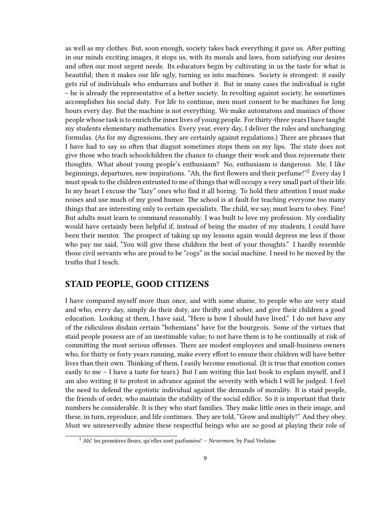as well as my clothes. But, soon enough, society takes back everything it gave us. After putting in our minds exciting images, it stops us, with its morals and laws, from satisfying our desires and often our most urgent needs. Its educators begin by cultivating in us the taste for what is beautiful; then it makes our life ugly, turning us into machines. Society is strongest: it easily gets rid of individuals who embarrass and bother it. But in many cases the individual is right – he is already the representative of a better society. In revolting against society, he sometimes accomplishes his social duty. For life to continue, men must consent to be machines for long hours every day. But the machine is not everything. We make automatons and maniacs of those people whose task is to enrich the inner lives of young people. For thirty-three years I have taught my students elementary mathematics. Every year, every day, I deliver the rules and unchanging formulas. (As for my digressions, they are certainly against regulations.) There are phrases that I have had to say so often that disgust sometimes stops them on my lips. The state does not give those who teach schoolchildren the chance to change their work and thus rejuvenate their thoughts. What about young people's enthusiasm? No, enthusiasm is dangerous. Me, I like beginnings, departures, new inspirations. "Ah, the first flowers and their perfume!"<sup>2</sup> Every day I must speak to the children entrusted to me of things that will occupy a very small part of their life. In my heart I excuse the "lazy" ones who find it all boring. To hold their attention I must make noises and use much of my good humor. The school is at fault for teaching everyone too many things that are interesting only to certain specialists. The child, we say, must learn to obey. Fine! But adults must learn to command reasonably. I was built to love my profession. My cordiality would have certainly been helpful if, instead of being the master of my students, I could have been their mentor. The prospect of taking up my lessons again would depress me less if those who pay me said, "You will give these children the best of your thoughts." I hardly resemble those civil servants who are proud to be "cogs" in the social machine. I need to be moved by the truths that I teach.

#### <span id="page-8-0"></span>**STAID PEOPLE, GOOD CITIZENS**

I have compared myself more than once, and with some shame, to people who are very staid and who, every day, simply do their duty, are thrifty and sober, and give their children a good education. Looking at them, I have said, "Here is how I should have lived." I do not have any of the ridiculous disdain certain "bohemians" have for the bourgeois. Some of the virtues that staid people possess are of an inestimable value; to not have them is to be continually at risk of committing the most serious offenses. There are modest employees and small-business owners who, for thirty or forty years running, make every effort to ensure their children will have better lives than their own. Thinking of them, I easily become emotional. (It is true that emotion comes easily to me – I have a taste for tears.) But I am writing this last book to explain myself, and I am also writing it to protest in advance against the severity with which I will be judged. I feel the need to defend the egotistic individual against the demands of morality. It is staid people, the friends of order, who maintain the stability of the social edifice. So it is important that their numbers be considerable. It is they who start families. They make little ones in their image, and these, in turn, reproduce, and life continues. They are told, "Grow and multiply!" And they obey. Must we unreservedly admire these respectful beings who are so good at playing their role of

<sup>2</sup> Ah! les premières fleurs, qu'elles sont parfumées! – *Nevermore*, by Paul Verlaine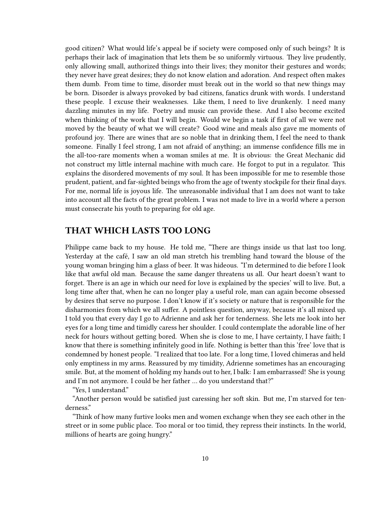good citizen? What would life's appeal be if society were composed only of such beings? It is perhaps their lack of imagination that lets them be so uniformly virtuous. They live prudently, only allowing small, authorized things into their lives; they monitor their gestures and words; they never have great desires; they do not know elation and adoration. And respect often makes them dumb. From time to time, disorder must break out in the world so that new things may be born. Disorder is always provoked by bad citizens, fanatics drunk with words. I understand these people. I excuse their weaknesses. Like them, I need to live drunkenly. I need many dazzling minutes in my life. Poetry and music can provide these. And I also become excited when thinking of the work that I will begin. Would we begin a task if first of all we were not moved by the beauty of what we will create? Good wine and meals also gave me moments of profound joy. There are wines that are so noble that in drinking them, I feel the need to thank someone. Finally I feel strong, I am not afraid of anything; an immense confidence fills me in the all-too-rare moments when a woman smiles at me. It is obvious: the Great Mechanic did not construct my little internal machine with much care. He forgot to put in a regulator. This explains the disordered movements of my soul. It has been impossible for me to resemble those prudent, patient, and far-sighted beings who from the age of twenty stockpile for their final days. For me, normal life is joyous life. The unreasonable individual that I am does not want to take into account all the facts of the great problem. I was not made to live in a world where a person must consecrate his youth to preparing for old age.

## <span id="page-9-0"></span>**THAT WHICH LASTS TOO LONG**

Philippe came back to my house. He told me, "There are things inside us that last too long. Yesterday at the café, I saw an old man stretch his trembling hand toward the blouse of the young woman bringing him a glass of beer. It was hideous. "I'm determined to die before I look like that awful old man. Because the same danger threatens us all. Our heart doesn't want to forget. There is an age in which our need for love is explained by the species' will to live. But, a long time after that, when he can no longer play a useful role, man can again become obsessed by desires that serve no purpose. I don't know if it's society or nature that is responsible for the disharmonies from which we all suffer. A pointless question, anyway, because it's all mixed up. I told you that every day I go to Adrienne and ask her for tenderness. She lets me look into her eyes for a long time and timidly caress her shoulder. I could contemplate the adorable line of her neck for hours without getting bored. When she is close to me, I have certainty, I have faith; I know that there is something infinitely good in life. Nothing is better than this 'free' love that is condemned by honest people. "I realized that too late. For a long time, I loved chimeras and held only emptiness in my arms. Reassured by my timidity, Adrienne sometimes has an encouraging smile. But, at the moment of holding my hands out to her, I balk: I am embarrassed! She is young and I'm not anymore. I could be her father … do you understand that?"

"Yes, I understand."

"Another person would be satisfied just caressing her soft skin. But me, I'm starved for tenderness."

"Think of how many furtive looks men and women exchange when they see each other in the street or in some public place. Too moral or too timid, they repress their instincts. In the world, millions of hearts are going hungry."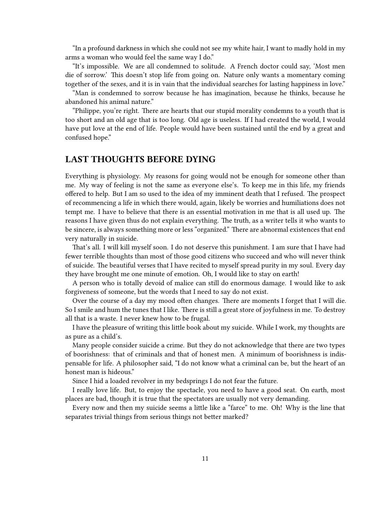"In a profound darkness in which she could not see my white hair, I want to madly hold in my arms a woman who would feel the same way I do."

"It's impossible. We are all condemned to solitude. A French doctor could say, 'Most men die of sorrow.' This doesn't stop life from going on. Nature only wants a momentary coming together of the sexes, and it is in vain that the individual searches for lasting happiness in love."

"Man is condemned to sorrow because he has imagination, because he thinks, because he abandoned his animal nature."

"Philippe, you're right. There are hearts that our stupid morality condemns to a youth that is too short and an old age that is too long. Old age is useless. If I had created the world, I would have put love at the end of life. People would have been sustained until the end by a great and confused hope."

# <span id="page-10-0"></span>**LAST THOUGHTS BEFORE DYING**

Everything is physiology. My reasons for going would not be enough for someone other than me. My way of feeling is not the same as everyone else's. To keep me in this life, my friends offered to help. But I am so used to the idea of my imminent death that I refused. The prospect of recommencing a life in which there would, again, likely be worries and humiliations does not tempt me. I have to believe that there is an essential motivation in me that is all used up. The reasons I have given thus do not explain everything. The truth, as a writer tells it who wants to be sincere, is always something more or less "organized." There are abnormal existences that end very naturally in suicide.

That's all. I will kill myself soon. I do not deserve this punishment. I am sure that I have had fewer terrible thoughts than most of those good citizens who succeed and who will never think of suicide. The beautiful verses that I have recited to myself spread purity in my soul. Every day they have brought me one minute of emotion. Oh, I would like to stay on earth!

A person who is totally devoid of malice can still do enormous damage. I would like to ask forgiveness of someone, but the words that I need to say do not exist.

Over the course of a day my mood often changes. There are moments I forget that I will die. So I smile and hum the tunes that I like. There is still a great store of joyfulness in me. To destroy all that is a waste. I never knew how to be frugal.

I have the pleasure of writing this little book about my suicide. While I work, my thoughts are as pure as a child's.

Many people consider suicide a crime. But they do not acknowledge that there are two types of boorishness: that of criminals and that of honest men. A minimum of boorishness is indispensable for life. A philosopher said, "I do not know what a criminal can be, but the heart of an honest man is hideous."

Since I hid a loaded revolver in my bedsprings I do not fear the future.

I really love life. But, to enjoy the spectacle, you need to have a good seat. On earth, most places are bad, though it is true that the spectators are usually not very demanding.

Every now and then my suicide seems a little like a "farce" to me. Oh! Why is the line that separates trivial things from serious things not better marked?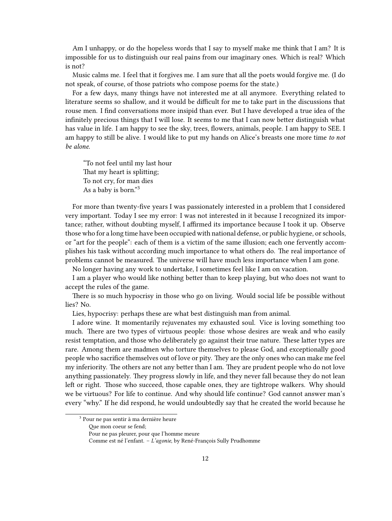Am I unhappy, or do the hopeless words that I say to myself make me think that I am? It is impossible for us to distinguish our real pains from our imaginary ones. Which is real? Which is not?

Music calms me. I feel that it forgives me. I am sure that all the poets would forgive me. (I do not speak, of course, of those patriots who compose poems for the state.)

For a few days, many things have not interested me at all anymore. Everything related to literature seems so shallow, and it would be difficult for me to take part in the discussions that rouse men. I find conversations more insipid than ever. But I have developed a true idea of the infinitely precious things that I will lose. It seems to me that I can now better distinguish what has value in life. I am happy to see the sky, trees, flowers, animals, people. I am happy to SEE. I am happy to still be alive. I would like to put my hands on Alice's breasts one more time *to not be alone*.

"To not feel until my last hour That my heart is splitting; To not cry, for man dies As a baby is born."<sup>3</sup>

For more than twenty-five years I was passionately interested in a problem that I considered very important. Today I see my error: I was not interested in it because I recognized its importance; rather, without doubting myself, I affirmed its importance because I took it up. Observe those who for a long time have been occupied with national defense, or public hygiene, or schools, or "art for the people": each of them is a victim of the same illusion; each one fervently accomplishes his task without according much importance to what others do. The real importance of problems cannot be measured. The universe will have much less importance when I am gone.

No longer having any work to undertake, I sometimes feel like I am on vacation.

I am a player who would like nothing better than to keep playing, but who does not want to accept the rules of the game.

There is so much hypocrisy in those who go on living. Would social life be possible without lies? No.

Lies, hypocrisy: perhaps these are what best distinguish man from animal.

I adore wine. It momentarily rejuvenates my exhausted soul. Vice is loving something too much. There are two types of virtuous people: those whose desires are weak and who easily resist temptation, and those who deliberately go against their true nature. These latter types are rare. Among them are madmen who torture themselves to please God, and exceptionally good people who sacrifice themselves out of love or pity. They are the only ones who can make me feel my inferiority. The others are not any better than I am. They are prudent people who do not love anything passionately. They progress slowly in life, and they never fall because they do not lean left or right. Those who succeed, those capable ones, they are tightrope walkers. Why should we be virtuous? For life to continue. And why should life continue? God cannot answer man's every "why." If he did respond, he would undoubtedly say that he created the world because he

<sup>&</sup>lt;sup>3</sup> Pour ne pas sentir à ma dernière heure

Que mon coeur se fend;

Pour ne pas pleurer, pour que l'homme meure

Comme est né l'enfant. – *L'agonie*, by René-François Sully Prudhomme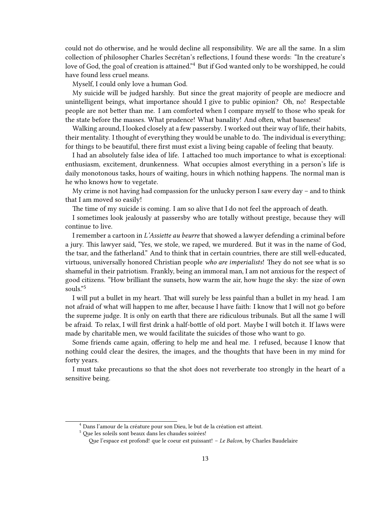could not do otherwise, and he would decline all responsibility. We are all the same. In a slim collection of philosopher Charles Secrétan's reflections, I found these words: "In the creature's love of God, the goal of creation is attained."<sup>4</sup> But if God wanted only to be worshipped, he could have found less cruel means.

Myself, I could only love a human God.

My suicide will be judged harshly. But since the great majority of people are mediocre and unintelligent beings, what importance should I give to public opinion? Oh, no! Respectable people are not better than me. I am comforted when I compare myself to those who speak for the state before the masses. What prudence! What banality! And often, what baseness!

Walking around, I looked closely at a few passersby. I worked out their way of life, their habits, their mentality. I thought of everything they would be unable to do. The individual is everything; for things to be beautiful, there first must exist a living being capable of feeling that beauty.

I had an absolutely false idea of life. I attached too much importance to what is exceptional: enthusiasm, excitement, drunkenness. What occupies almost everything in a person's life is daily monotonous tasks, hours of waiting, hours in which nothing happens. The normal man is he who knows how to vegetate.

My crime is not having had compassion for the unlucky person I saw every day – and to think that I am moved so easily!

The time of my suicide is coming. I am so alive that I do not feel the approach of death.

I sometimes look jealously at passersby who are totally without prestige, because they will continue to live.

I remember a cartoon in *L'Assiette au beurre* that showed a lawyer defending a criminal before a jury. This lawyer said, "Yes, we stole, we raped, we murdered. But it was in the name of God, the tsar, and the fatherland." And to think that in certain countries, there are still well-educated, virtuous, universally honored Christian people *who are imperialists*! They do not see what is so shameful in their patriotism. Frankly, being an immoral man, I am not anxious for the respect of good citizens. "How brilliant the sunsets, how warm the air, how huge the sky: the size of own souls."<sup>5</sup>

I will put a bullet in my heart. That will surely be less painful than a bullet in my head. I am not afraid of what will happen to me after, because I have faith: I know that I will not go before the supreme judge. It is only on earth that there are ridiculous tribunals. But all the same I will be afraid. To relax, I will first drink a half-bottle of old port. Maybe I will botch it. If laws were made by charitable men, we would facilitate the suicides of those who want to go.

Some friends came again, offering to help me and heal me. I refused, because I know that nothing could clear the desires, the images, and the thoughts that have been in my mind for forty years.

I must take precautions so that the shot does not reverberate too strongly in the heart of a sensitive being.

<sup>4</sup> Dans l'amour de la créature pour son Dieu, le but de la création est atteint.

<sup>5</sup> Que les soleils sont beaux dans les chaudes soirées!

Que l'espace est profond! que le coeur est puissant! – *Le Balcon*, by Charles Baudelaire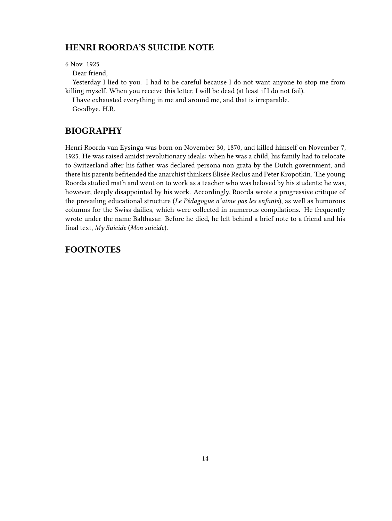# <span id="page-13-0"></span>**HENRI ROORDA'S SUICIDE NOTE**

6 Nov. 1925

Dear friend,

Yesterday I lied to you. I had to be careful because I do not want anyone to stop me from killing myself. When you receive this letter, I will be dead (at least if I do not fail).

I have exhausted everything in me and around me, and that is irreparable. Goodbye. H.R.

# <span id="page-13-1"></span>**BIOGRAPHY**

Henri Roorda van Eysinga was born on November 30, 1870, and killed himself on November 7, 1925. He was raised amidst revolutionary ideals: when he was a child, his family had to relocate to Switzerland after his father was declared persona non grata by the Dutch government, and there his parents befriended the anarchist thinkers Élisée Reclus and Peter Kropotkin. The young Roorda studied math and went on to work as a teacher who was beloved by his students; he was, however, deeply disappointed by his work. Accordingly, Roorda wrote a progressive critique of the prevailing educational structure (*Le Pédagogue n'aime pas les enfants*), as well as humorous columns for the Swiss dailies, which were collected in numerous compilations. He frequently wrote under the name Balthasar. Before he died, he left behind a brief note to a friend and his final text, *My Suicide* (*Mon suicide*).

# <span id="page-13-2"></span>**FOOTNOTES**